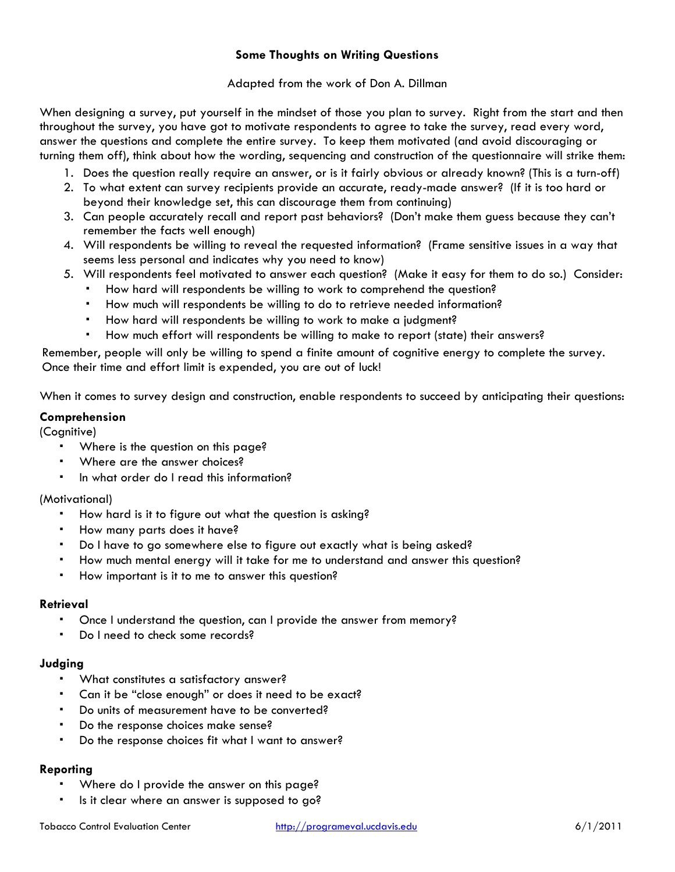### **Some Thoughts on Writing Questions**

### Adapted from the work of Don A. Dillman

When designing a survey, put yourself in the mindset of those you plan to survey. Right from the start and then throughout the survey, you have got to motivate respondents to agree to take the survey, read every word, answer the questions and complete the entire survey. To keep them motivated (and avoid discouraging or turning them off), think about how the wording, sequencing and construction of the questionnaire will strike them:

- 1. Does the question really require an answer, or is it fairly obvious or already known? (This is a turn-off)
- 2. To what extent can survey recipients provide an accurate, ready-made answer? (If it is too hard or beyond their knowledge set, this can discourage them from continuing)
- 3. Can people accurately recall and report past behaviors? (Don't make them guess because they can't remember the facts well enough)
- 4. Will respondents be willing to reveal the requested information? (Frame sensitive issues in a way that seems less personal and indicates why you need to know)
- 5. Will respondents feel motivated to answer each question? (Make it easy for them to do so.) Consider:
	- How hard will respondents be willing to work to comprehend the question? How much will respondents be willing to do to retrieve needed information?
	-
	- How hard will respondents be willing to work to make a judgment?
- How much effort will respondents be willing to make to report (state) their answers? Remember, people will only be willing to spend a finite amount of cognitive energy to complete the survey.

Once their time and effort limit is expended, you are out of luck!

When it comes to survey design and construction, enable respondents to succeed by anticipating their questions:

#### **Comprehension**

(Cognitive)

- Where is the question on this page?
- Where are the answer choices?
- In what order do I read this information?

#### (Motivational)

- How hard is it to figure out what the question is asking?
- How many parts does it have?
- Do I have to go somewhere else to figure out exactly what is being asked?
- How much mental energy will it take for me to understand and answer this question?
- How important is it to me to answer this question?

#### **Retrieval**

- Once I understand the question, can I provide the answer from memory?
- Do I need to check some records?

#### **Judging**

- What constitutes a satisfactory answer?
- Can it be "close enough" or does it need to be exact?
- Do units of measurement have to be converted?
- Do the response choices make sense?
- Do the response choices fit what I want to answer?

## **Reporting**

- Where do I provide the answer on this page?
- Is it clear where an answer is supposed to go?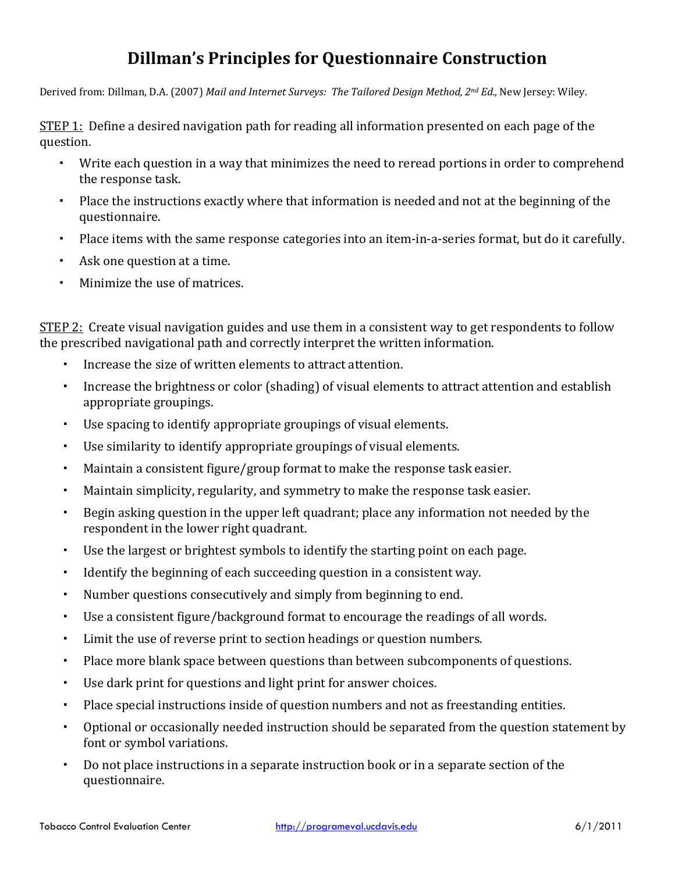# **Dillman's Principles for Questionnaire Construction**

Derived from: Dillman, D.A. (2007) *Mail and Internet Surveys: The Tailored Design Method, 2nd Ed.,* New Jersey: Wiley.

STEP 1: Define a desired navigation path for reading all information presented on each page of the question.

- Write each question in a way that minimizes the need to reread portions in order to comprehend the response task.
- Place the instructions exactly where that information is needed and not at the beginning of the questionnaire.
- Place items with the same response categories into an item-in-a-series format, but do it carefully.
- Ask one question at a time.
- Minimize the use of matrices.

STEP 2: Create visual navigation guides and use them in a consistent way to get respondents to follow the prescribed navigational path and correctly interpret the written information.

- Increase the size of written elements to attract attention.
- Increase the brightness or color (shading) of visual elements to attract attention and establish appropriate groupings.
- Use spacing to identify appropriate groupings of visual elements.
- Use similarity to identify appropriate groupings of visual elements.
- Maintain a consistent figure/group format to make the response task easier.
- Maintain simplicity, regularity, and symmetry to make the response task easier.
- Begin asking question in the upper left quadrant; place any information not needed by the respondent in the lower right quadrant.
- Use the largest or brightest symbols to identify the starting point on each page.
- Identify the beginning of each succeeding question in a consistent way.
- Number questions consecutively and simply from beginning to end.
- Use a consistent figure/background format to encourage the readings of all words.
- Limit the use of reverse print to section headings or question numbers.
- Place more blank space between questions than between subcomponents of questions.
- Use dark print for questions and light print for answer choices.
- Place special instructions inside of question numbers and not as freestanding entities.
- Optional or occasionally needed instruction should be separated from the question statement by font or symbol variations.
- Do not place instructions in a separate instruction book or in a separate section of the questionnaire.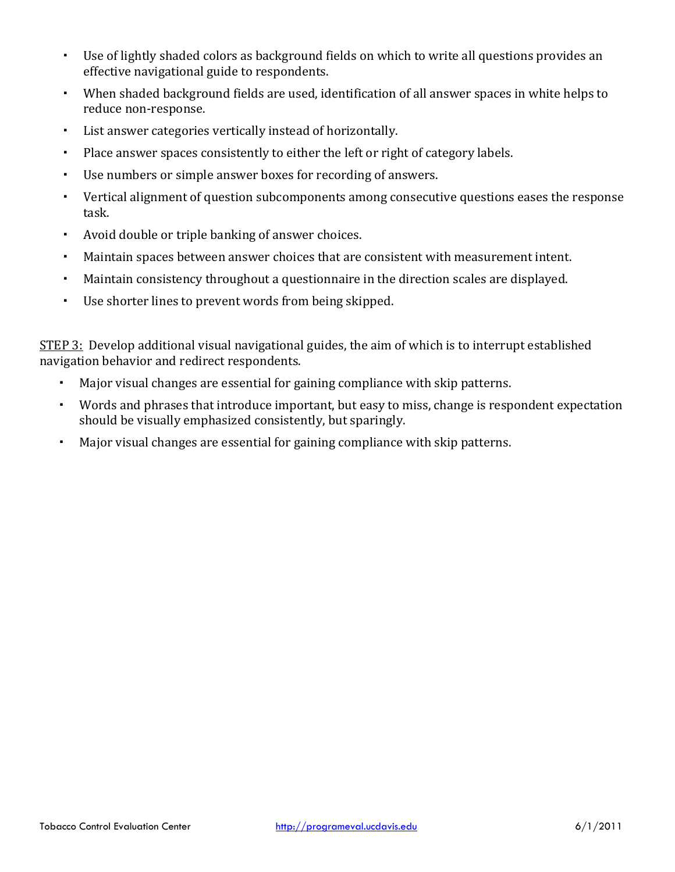- Use of lightly shaded colors as background fields on which to write all questions provides an effective navigational guide to respondents.
- When shaded background fields are used, identification of all answer spaces in white helps to reduce non‐response.
- List answer categories vertically instead of horizontally.
- Place answer spaces consistently to either the left or right of category labels.
- Use numbers or simple answer boxes for recording of answers.
- Vertical alignment of question subcomponents among consecutive questions eases the response task.
- Avoid double or triple banking of answer choices.
- Maintain spaces between answer choices that are consistent with measurement intent.
- Maintain consistency throughout a questionnaire in the direction scales are displayed.
- Use shorter lines to prevent words from being skipped.

STEP 3: Develop additional visual navigational guides, the aim of which is to interrupt established navigation behavior and redirect respondents.

- Major visual changes are essential for gaining compliance with skip patterns.
- Words and phrases that introduce important, but easy to miss, change is respondent expectation should be visually emphasized consistently, but sparingly.
- Major visual changes are essential for gaining compliance with skip patterns.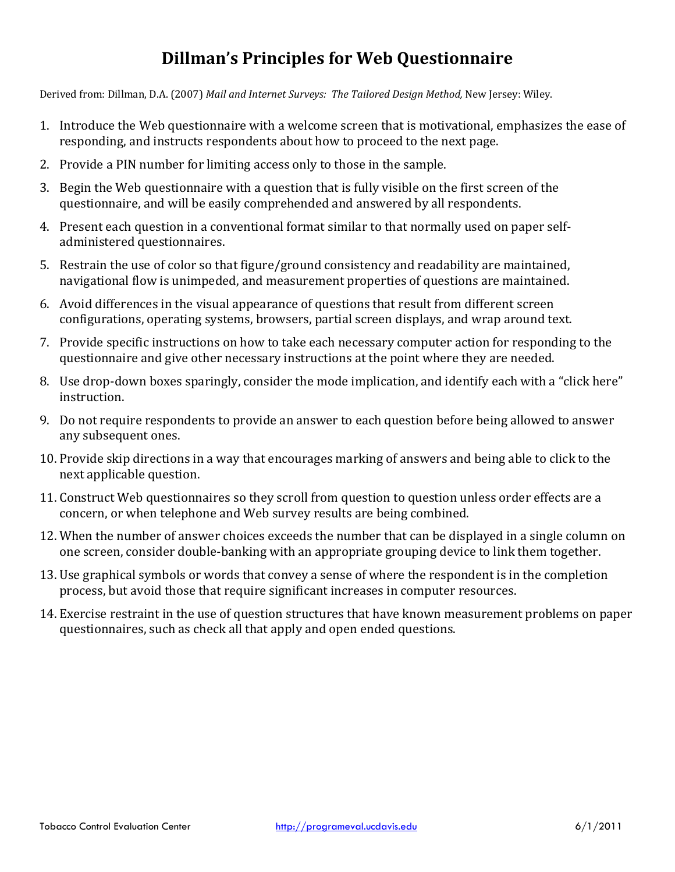# **Dillman's Principles for Web Questionnaire**

Derived from: Dillman, D.A. (2007) *Mail and Internet Surveys: The Tailored Design Method,* New Jersey: Wiley.

- 1. Introduce the Web questionnaire with a welcome screen that is motivational, emphasizes the ease of responding, and instructs respondents about how to proceed to the next page.
- 2. Provide a PIN number for limiting access only to those in the sample.
- 3. Begin the Web questionnaire with a question that is fully visible on the first screen of the questionnaire, and will be easily comprehended and answered by all respondents.
- 4. Present each question in a conventional format similar to that normally used on paper self‐ administered questionnaires.
- 5. Restrain the use of color so that figure/ground consistency and readability are maintained, navigational flow is unimpeded, and measurement properties of questions are maintained.
- 6. Avoid differences in the visual appearance of questions that result from different screen configurations, operating systems, browsers, partial screen displays, and wrap around text.
- 7. Provide specific instructions on how to take each necessary computer action for responding to the questionnaire and give other necessary instructions at the point where they are needed.
- 8. Use drop-down boxes sparingly, consider the mode implication, and identify each with a "click here" instruction.
- 9. Do not require respondents to provide an answer to each question before being allowed to answer any subsequent ones.
- 10. Provide skip directions in a way that encourages marking of answers and being able to click to the next applicable question.
- 11. Construct Web questionnaires so they scroll from question to question unless order effects are a concern, or when telephone and Web survey results are being combined.
- 12. When the number of answer choices exceeds the number that can be displayed in a single column on one screen, consider double‐banking with an appropriate grouping device to link them together.
- 13. Use graphical symbols or words that convey a sense of where the respondent is in the completion process, but avoid those that require significant increases in computer resources.
- 14. Exercise restraint in the use of question structures that have known measurement problems on paper questionnaires, such as check all that apply and open ended questions.